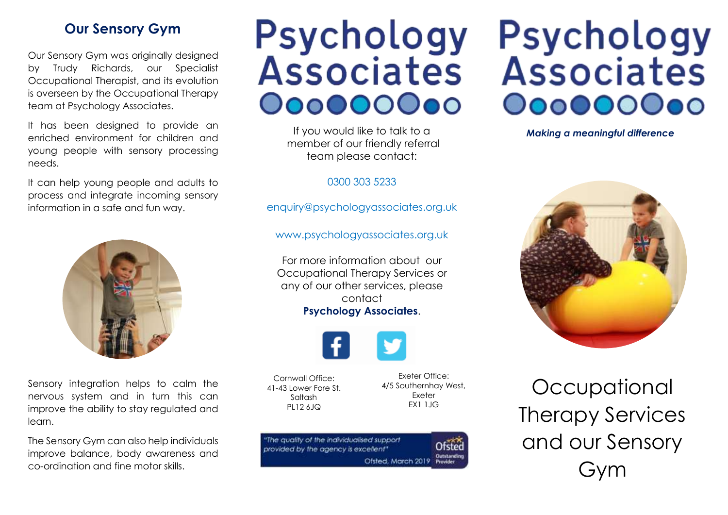#### **Our Sensory Gym**

Our Sensory Gym was originally designed by Trudy Richards, our Specialist Occupational Therapist, and its evolution is overseen by the Occupational Therapy team at Psychology Associates.

It has been designed to provide an enriched environment for children and young people with sensory processing needs.

It can help young people and adults to process and integrate incoming sensory information in a safe and fun way.



Sensory integration helps to calm the nervous system and in turn this can improve the ability to stay regulated and learn.

The Sensory Gym can also help individuals improve balance, body awareness and co-ordination and fine motor skills.

## Psychology Associates 00000000

If you would like to talk to a **Making a meaningful difference** member of our friendly referral team please contact:

0300 303 5233

[enquiry@psychologyassociates.org.uk](mailto:enquiry@psychologyassociates.org.uk)

[www.psychologyassociates.org.uk](http://www.psychologyassociates.org.uk/)

For more information about our Occupational Therapy Services or any of our other services, please contact **Psychology Associates**.



Cornwall Office: 41-43 Lower Fore St. Saltash PL12 6JQ

Exeter Office: 4/5 Southernhay West, Exeter EX1 1JG

| "The quality of the individualised support<br>provided by the agency is excellent" | Ofsted      |
|------------------------------------------------------------------------------------|-------------|
| Ofsted, March 2019 Provider                                                        | Outstanding |

# Psychology Associates 000000000



**Occupational** Therapy Services and our Sensory Gym